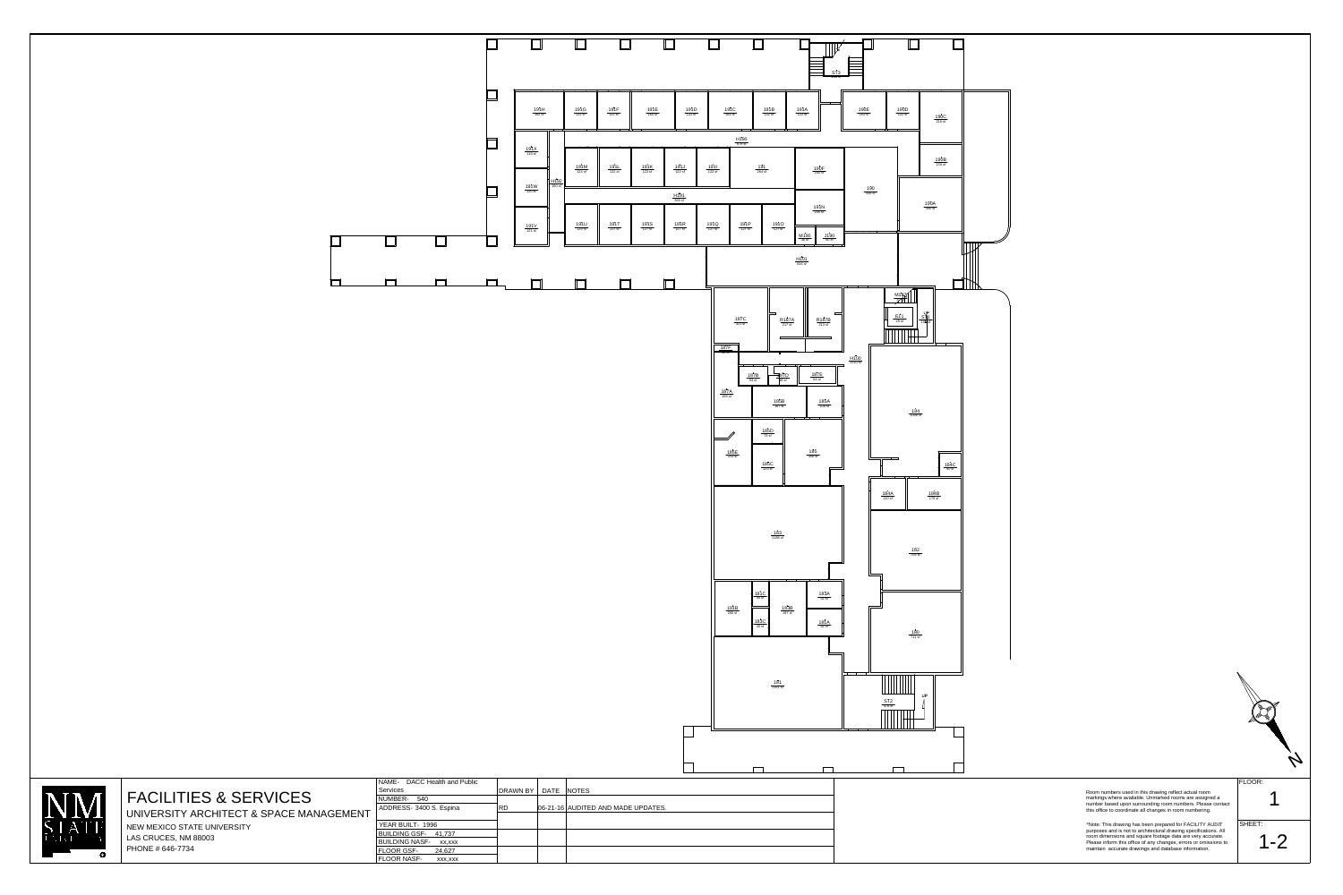NAME-DACC Health and Public BUILDING NASF-xx,xxx BUILDING GSF-41,737 YEAR BUILT-1996 ADDRESS- 3400 S. Espina NUMBER-540 FLOOR GSF-24,627 **Services** 







## FACILITIES & SERVICES

UNIVERSITY ARCHITECT & SPACE MANAGEMENT NEW MEXICO STATE UNIVERSITY LAS CRUCES, NM 88003 PHONE # 646-7734